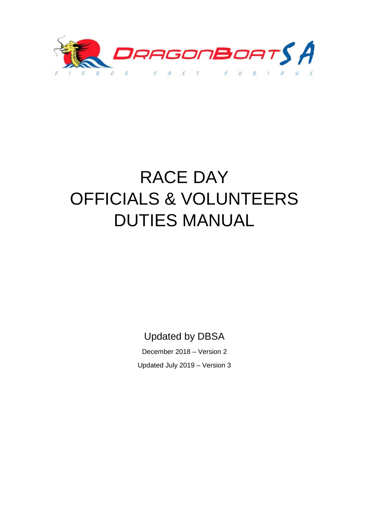

# RACE DAY OFFICIALS & VOLUNTEERS DUTIES MANUAL

Updated by DBSA

December 2018 – Version 2 Updated July 2019 – Version 3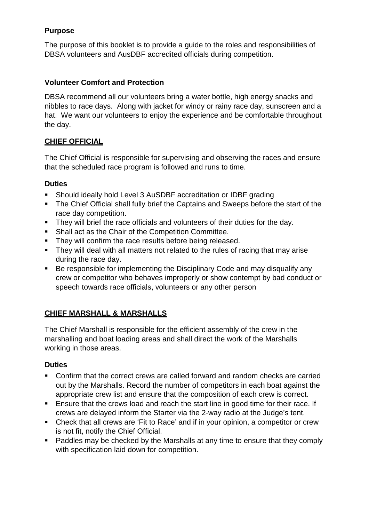#### **Purpose**

The purpose of this booklet is to provide a guide to the roles and responsibilities of DBSA volunteers and AusDBF accredited officials during competition.

#### **Volunteer Comfort and Protection**

DBSA recommend all our volunteers bring a water bottle, high energy snacks and nibbles to race days. Along with jacket for windy or rainy race day, sunscreen and a hat. We want our volunteers to enjoy the experience and be comfortable throughout the day.

#### **CHIEF OFFICIAL**

The Chief Official is responsible for supervising and observing the races and ensure that the scheduled race program is followed and runs to time.

#### **Duties**

- Should ideally hold Level 3 AuSDBF accreditation or IDBF grading
- **The Chief Official shall fully brief the Captains and Sweeps before the start of the** race day competition.
- **They will brief the race officials and volunteers of their duties for the day.**
- Shall act as the Chair of the Competition Committee.
- They will confirm the race results before being released.
- They will deal with all matters not related to the rules of racing that may arise during the race day.
- Be responsible for implementing the Disciplinary Code and may disqualify any crew or competitor who behaves improperly or show contempt by bad conduct or speech towards race officials, volunteers or any other person

#### **CHIEF MARSHALL & MARSHALLS**

The Chief Marshall is responsible for the efficient assembly of the crew in the marshalling and boat loading areas and shall direct the work of the Marshalls working in those areas.

#### **Duties**

- Confirm that the correct crews are called forward and random checks are carried out by the Marshalls. Record the number of competitors in each boat against the appropriate crew list and ensure that the composition of each crew is correct.
- Ensure that the crews load and reach the start line in good time for their race. If crews are delayed inform the Starter via the 2-way radio at the Judge's tent.
- Check that all crews are 'Fit to Race' and if in your opinion, a competitor or crew is not fit, notify the Chief Official.
- Paddles may be checked by the Marshalls at any time to ensure that they comply with specification laid down for competition.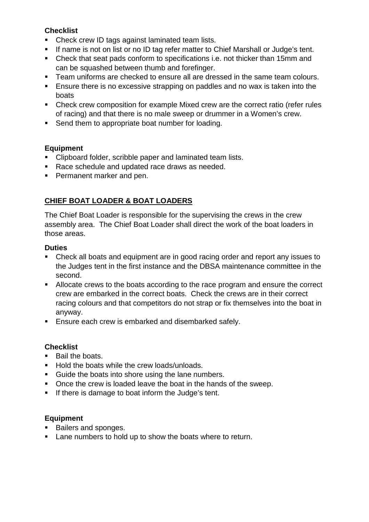#### **Checklist**

- Check crew ID tags against laminated team lists.
- If name is not on list or no ID tag refer matter to Chief Marshall or Judge's tent.
- Check that seat pads conform to specifications i.e. not thicker than 15mm and can be squashed between thumb and forefinger.
- **Team uniforms are checked to ensure all are dressed in the same team colours.**
- Ensure there is no excessive strapping on paddles and no wax is taken into the boats
- Check crew composition for example Mixed crew are the correct ratio (refer rules of racing) and that there is no male sweep or drummer in a Women's crew.
- Send them to appropriate boat number for loading.

## **Equipment**

- Clipboard folder, scribble paper and laminated team lists.
- Race schedule and updated race draws as needed.
- **Permanent marker and pen.**

# **CHIEF BOAT LOADER & BOAT LOADERS**

The Chief Boat Loader is responsible for the supervising the crews in the crew assembly area. The Chief Boat Loader shall direct the work of the boat loaders in those areas.

#### **Duties**

- Check all boats and equipment are in good racing order and report any issues to the Judges tent in the first instance and the DBSA maintenance committee in the second.
- Allocate crews to the boats according to the race program and ensure the correct crew are embarked in the correct boats. Check the crews are in their correct racing colours and that competitors do not strap or fix themselves into the boat in anyway.
- **Ensure each crew is embarked and disembarked safely.**

# **Checklist**

- **Bail the boats.**
- Hold the boats while the crew loads/unloads.
- Guide the boats into shore using the lane numbers.
- Once the crew is loaded leave the boat in the hands of the sweep.
- If there is damage to boat inform the Judge's tent.

#### **Equipment**

- Bailers and sponges.
- **Lane numbers to hold up to show the boats where to return.**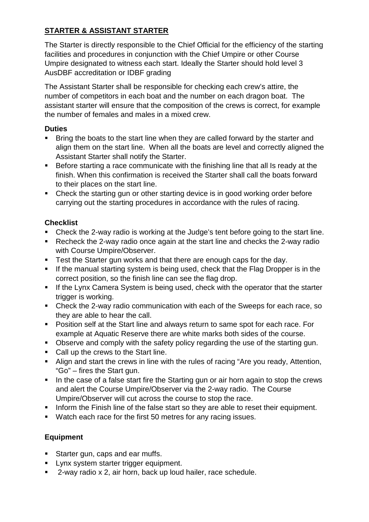# **STARTER & ASSISTANT STARTER**

The Starter is directly responsible to the Chief Official for the efficiency of the starting facilities and procedures in conjunction with the Chief Umpire or other Course Umpire designated to witness each start. Ideally the Starter should hold level 3 AusDBF accreditation or IDBF grading

The Assistant Starter shall be responsible for checking each crew's attire, the number of competitors in each boat and the number on each dragon boat. The assistant starter will ensure that the composition of the crews is correct, for example the number of females and males in a mixed crew.

#### **Duties**

- **Bring the boats to the start line when they are called forward by the starter and** align them on the start line. When all the boats are level and correctly aligned the Assistant Starter shall notify the Starter.
- Before starting a race communicate with the finishing line that all Is ready at the finish. When this confirmation is received the Starter shall call the boats forward to their places on the start line.
- Check the starting gun or other starting device is in good working order before carrying out the starting procedures in accordance with the rules of racing.

# **Checklist**

- Check the 2-way radio is working at the Judge's tent before going to the start line.
- Recheck the 2-way radio once again at the start line and checks the 2-way radio with Course Umpire/Observer.
- **Test the Starter gun works and that there are enough caps for the day.**
- If the manual starting system is being used, check that the Flag Dropper is in the correct position, so the finish line can see the flag drop.
- **If the Lynx Camera System is being used, check with the operator that the starter** trigger is working.
- Check the 2-way radio communication with each of the Sweeps for each race, so they are able to hear the call.
- **Position self at the Start line and always return to same spot for each race. For** example at Aquatic Reserve there are white marks both sides of the course.
- Observe and comply with the safety policy regarding the use of the starting gun.
- Call up the crews to the Start line.
- Align and start the crews in line with the rules of racing "Are you ready, Attention, "Go" – fires the Start gun.
- In the case of a false start fire the Starting gun or air horn again to stop the crews and alert the Course Umpire/Observer via the 2-way radio. The Course Umpire/Observer will cut across the course to stop the race.
- **Inform the Finish line of the false start so they are able to reset their equipment.**
- Watch each race for the first 50 metres for any racing issues.

# **Equipment**

- **Starter gun, caps and ear muffs.**
- **Lynx system starter trigger equipment.**
- 2-way radio x 2, air horn, back up loud hailer, race schedule.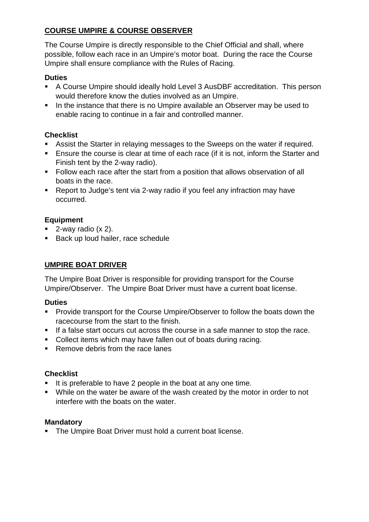# **COURSE UMPIRE & COURSE OBSERVER**

The Course Umpire is directly responsible to the Chief Official and shall, where possible, follow each race in an Umpire's motor boat. During the race the Course Umpire shall ensure compliance with the Rules of Racing.

#### **Duties**

- A Course Umpire should ideally hold Level 3 AusDBF accreditation. This person would therefore know the duties involved as an Umpire.
- In the instance that there is no Umpire available an Observer may be used to enable racing to continue in a fair and controlled manner.

## **Checklist**

- Assist the Starter in relaying messages to the Sweeps on the water if required.
- **Ensure the course is clear at time of each race (if it is not, inform the Starter and** Finish tent by the 2-way radio).
- Follow each race after the start from a position that allows observation of all boats in the race.
- Report to Judge's tent via 2-way radio if you feel any infraction may have occurred.

# **Equipment**

- $\blacksquare$  2-way radio (x 2).
- Back up loud hailer, race schedule

# **UMPIRE BOAT DRIVER**

The Umpire Boat Driver is responsible for providing transport for the Course Umpire/Observer. The Umpire Boat Driver must have a current boat license.

#### **Duties**

- **Provide transport for the Course Umpire/Observer to follow the boats down the** racecourse from the start to the finish.
- If a false start occurs cut across the course in a safe manner to stop the race.
- **Collect items which may have fallen out of boats during racing.**
- Remove debris from the race lanes

#### **Checklist**

- $\blacksquare$  It is preferable to have 2 people in the boat at any one time.
- While on the water be aware of the wash created by the motor in order to not interfere with the boats on the water.

#### **Mandatory**

• The Umpire Boat Driver must hold a current boat license.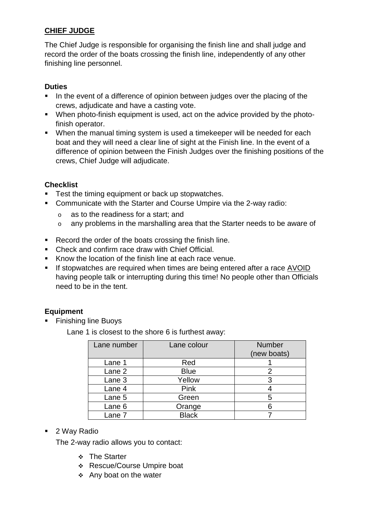# **CHIEF JUDGE**

The Chief Judge is responsible for organising the finish line and shall judge and record the order of the boats crossing the finish line, independently of any other finishing line personnel.

#### **Duties**

- In the event of a difference of opinion between judges over the placing of the crews, adjudicate and have a casting vote.
- When photo-finish equipment is used, act on the advice provided by the photofinish operator.
- When the manual timing system is used a timekeeper will be needed for each boat and they will need a clear line of sight at the Finish line. In the event of a difference of opinion between the Finish Judges over the finishing positions of the crews, Chief Judge will adjudicate.

#### **Checklist**

- **Test the timing equipment or back up stopwatches.**
- Communicate with the Starter and Course Umpire via the 2-way radio:
	- o as to the readiness for a start; and
	- o any problems in the marshalling area that the Starter needs to be aware of
- Record the order of the boats crossing the finish line.
- Check and confirm race draw with Chief Official.
- Know the location of the finish line at each race venue.
- If stopwatches are required when times are being entered after a race AVOID having people talk or interrupting during this time! No people other than Officials need to be in the tent.

#### **Equipment**

■ Finishing line Buoys

Lane 1 is closest to the shore 6 is furthest away:

| Lane number | Lane colour  | <b>Number</b><br>(new boats) |
|-------------|--------------|------------------------------|
| Lane 1      | Red          |                              |
| Lane 2      | <b>Blue</b>  | 2                            |
| Lane 3      | Yellow       | 3                            |
| Lane 4      | Pink         |                              |
| Lane 5      | Green        | 5                            |
| Lane 6      | Orange       |                              |
| Lane 7      | <b>Black</b> |                              |

■ 2 Way Radio

The 2-way radio allows you to contact:

- ❖ The Starter
- Rescue/Course Umpire boat
- $\div$  Any boat on the water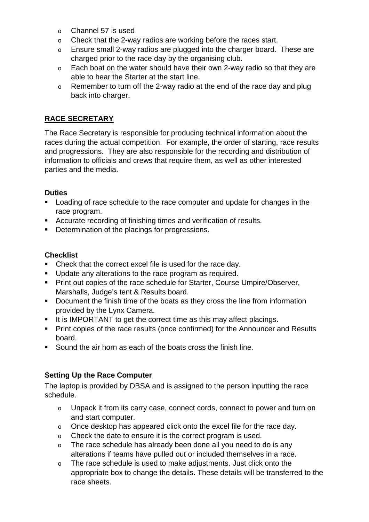- o Channel 57 is used
- o Check that the 2-way radios are working before the races start.
- o Ensure small 2-way radios are plugged into the charger board. These are charged prior to the race day by the organising club.
- o Each boat on the water should have their own 2-way radio so that they are able to hear the Starter at the start line.
- o Remember to turn off the 2-way radio at the end of the race day and plug back into charger.

# **RACE SECRETARY**

The Race Secretary is responsible for producing technical information about the races during the actual competition. For example, the order of starting, race results and progressions. They are also responsible for the recording and distribution of information to officials and crews that require them, as well as other interested parties and the media.

#### **Duties**

- **Loading of race schedule to the race computer and update for changes in the** race program.
- Accurate recording of finishing times and verification of results.
- Determination of the placings for progressions.

#### **Checklist**

- Check that the correct excel file is used for the race day.
- **Update any alterations to the race program as required.**
- **Print out copies of the race schedule for Starter, Course Umpire/Observer,** Marshalls, Judge's tent & Results board.
- **•** Document the finish time of the boats as they cross the line from information provided by the Lynx Camera.
- It is IMPORTANT to get the correct time as this may affect placings.
- **Print copies of the race results (once confirmed) for the Announcer and Results** board.
- Sound the air horn as each of the boats cross the finish line.

#### **Setting Up the Race Computer**

The laptop is provided by DBSA and is assigned to the person inputting the race schedule.

- o Unpack it from its carry case, connect cords, connect to power and turn on and start computer.
- o Once desktop has appeared click onto the excel file for the race day.
- o Check the date to ensure it is the correct program is used.
- o The race schedule has already been done all you need to do is any alterations if teams have pulled out or included themselves in a race.
- o The race schedule is used to make adjustments. Just click onto the appropriate box to change the details. These details will be transferred to the race sheets.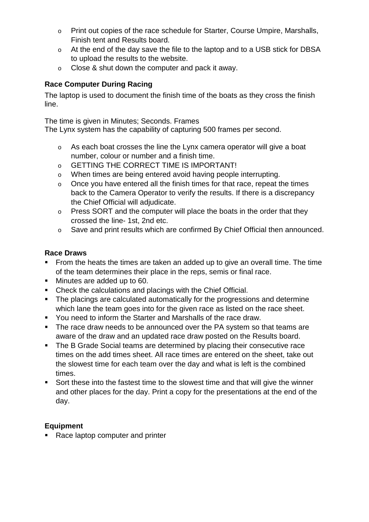- o Print out copies of the race schedule for Starter, Course Umpire, Marshalls, Finish tent and Results board.
- o At the end of the day save the file to the laptop and to a USB stick for DBSA to upload the results to the website.
- o Close & shut down the computer and pack it away.

# **Race Computer During Racing**

The laptop is used to document the finish time of the boats as they cross the finish line.

The time is given in Minutes; Seconds. Frames

The Lynx system has the capability of capturing 500 frames per second.

- o As each boat crosses the line the Lynx camera operator will give a boat number, colour or number and a finish time.
- o GETTING THE CORRECT TIME IS IMPORTANT!
- o When times are being entered avoid having people interrupting.
- o Once you have entered all the finish times for that race, repeat the times back to the Camera Operator to verify the results. If there is a discrepancy the Chief Official will adjudicate.
- o Press SORT and the computer will place the boats in the order that they crossed the line- 1st, 2nd etc.
- o Save and print results which are confirmed By Chief Official then announced.

## **Race Draws**

- From the heats the times are taken an added up to give an overall time. The time of the team determines their place in the reps, semis or final race.
- **Minutes are added up to 60.**
- Check the calculations and placings with the Chief Official.
- The placings are calculated automatically for the progressions and determine which lane the team goes into for the given race as listed on the race sheet.
- You need to inform the Starter and Marshalls of the race draw.
- The race draw needs to be announced over the PA system so that teams are aware of the draw and an updated race draw posted on the Results board.
- The B Grade Social teams are determined by placing their consecutive race times on the add times sheet. All race times are entered on the sheet, take out the slowest time for each team over the day and what is left is the combined times.
- Sort these into the fastest time to the slowest time and that will give the winner and other places for the day. Print a copy for the presentations at the end of the day.

# **Equipment**

• Race laptop computer and printer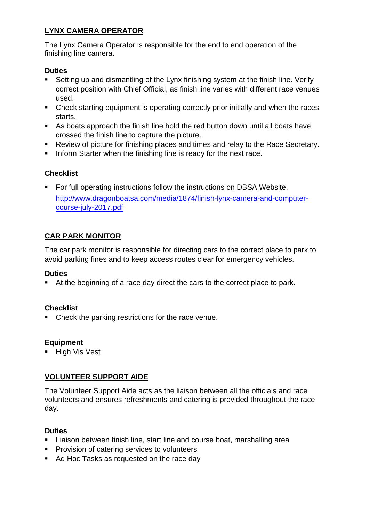## **LYNX CAMERA OPERATOR**

The Lynx Camera Operator is responsible for the end to end operation of the finishing line camera.

#### **Duties**

- Setting up and dismantling of the Lynx finishing system at the finish line. Verify correct position with Chief Official, as finish line varies with different race venues used.
- Check starting equipment is operating correctly prior initially and when the races starts.
- As boats approach the finish line hold the red button down until all boats have crossed the finish line to capture the picture.
- Review of picture for finishing places and times and relay to the Race Secretary.
- **Inform Starter when the finishing line is ready for the next race.**

# **Checklist**

 For full operating instructions follow the instructions on DBSA Website. http://www.dragonboatsa.com/media/1874/finish-lynx-camera-and-computercourse-july-2017.pdf

# **CAR PARK MONITOR**

The car park monitor is responsible for directing cars to the correct place to park to avoid parking fines and to keep access routes clear for emergency vehicles.

#### **Duties**

At the beginning of a race day direct the cars to the correct place to park.

#### **Checklist**

• Check the parking restrictions for the race venue.

#### **Equipment**

**High Vis Vest** 

#### **VOLUNTEER SUPPORT AIDE**

The Volunteer Support Aide acts as the liaison between all the officials and race volunteers and ensures refreshments and catering is provided throughout the race day.

#### **Duties**

- **EXTER** Liaison between finish line, start line and course boat, marshalling area
- **Provision of catering services to volunteers**
- Ad Hoc Tasks as requested on the race day